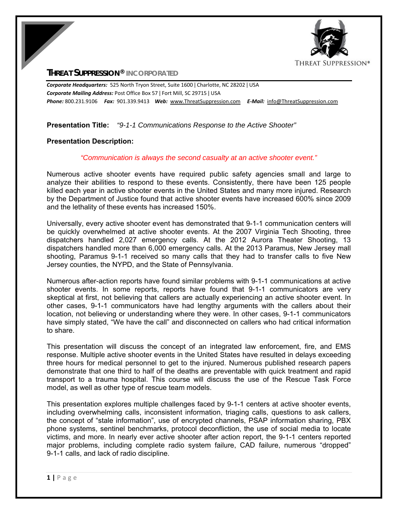

# **THREAT SUPPRESSION® INCORPORATED**

*Corporate Headquarters:* 525 North Tryon Street, Suite 1600 ǀ Charlotte, NC 28202 ǀ USA *Corporate Mailing Address:* Post Office Box 57 ǀ Fort Mill, SC 29715 ǀ USA *Phone:* 800.231.9106  *Fax:* 901.339.9413 *Web:* www.ThreatSuppression.com *E‐Mail:*  info@ThreatSuppression.com

## **Presentation Title:** *"9-1-1 Communications Response to the Active Shooter"*

## **Presentation Description:**

#### *"Communication is always the second casualty at an active shooter event."*

Numerous active shooter events have required public safety agencies small and large to analyze their abilities to respond to these events. Consistently, there have been 125 people killed each year in active shooter events in the United States and many more injured. Research by the Department of Justice found that active shooter events have increased 600% since 2009 and the lethality of these events has increased 150%.

Universally, every active shooter event has demonstrated that 9-1-1 communication centers will be quickly overwhelmed at active shooter events. At the 2007 Virginia Tech Shooting, three dispatchers handled 2,027 emergency calls. At the 2012 Aurora Theater Shooting, 13 dispatchers handled more than 6,000 emergency calls. At the 2013 Paramus, New Jersey mall shooting, Paramus 9-1-1 received so many calls that they had to transfer calls to five New Jersey counties, the NYPD, and the State of Pennsylvania.

Numerous after-action reports have found similar problems with 9-1-1 communications at active shooter events. In some reports, reports have found that 9-1-1 communicators are very skeptical at first, not believing that callers are actually experiencing an active shooter event. In other cases, 9-1-1 communicators have had lengthy arguments with the callers about their location, not believing or understanding where they were. In other cases, 9-1-1 communicators have simply stated, "We have the call" and disconnected on callers who had critical information to share.

This presentation will discuss the concept of an integrated law enforcement, fire, and EMS response. Multiple active shooter events in the United States have resulted in delays exceeding three hours for medical personnel to get to the injured. Numerous published research papers demonstrate that one third to half of the deaths are preventable with quick treatment and rapid transport to a trauma hospital. This course will discuss the use of the Rescue Task Force model, as well as other type of rescue team models.

This presentation explores multiple challenges faced by 9-1-1 centers at active shooter events, including overwhelming calls, inconsistent information, triaging calls, questions to ask callers, the concept of "stale information", use of encrypted channels, PSAP information sharing, PBX phone systems, sentinel benchmarks, protocol deconfliction, the use of social media to locate victims, and more. In nearly ever active shooter after action report, the 9-1-1 centers reported major problems, including complete radio system failure, CAD failure, numerous "dropped" 9-1-1 calls, and lack of radio discipline.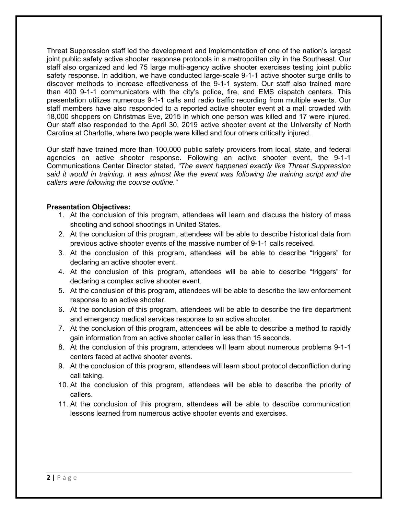Threat Suppression staff led the development and implementation of one of the nation's largest joint public safety active shooter response protocols in a metropolitan city in the Southeast. Our staff also organized and led 75 large multi-agency active shooter exercises testing joint public safety response. In addition, we have conducted large-scale 9-1-1 active shooter surge drills to discover methods to increase effectiveness of the 9-1-1 system. Our staff also trained more than 400 9-1-1 communicators with the city's police, fire, and EMS dispatch centers. This presentation utilizes numerous 9-1-1 calls and radio traffic recording from multiple events. Our staff members have also responded to a reported active shooter event at a mall crowded with 18,000 shoppers on Christmas Eve, 2015 in which one person was killed and 17 were injured. Our staff also responded to the April 30, 2019 active shooter event at the University of North Carolina at Charlotte, where two people were killed and four others critically injured.

Our staff have trained more than 100,000 public safety providers from local, state, and federal agencies on active shooter response. Following an active shooter event, the 9-1-1 Communications Center Director stated, *"The event happened exactly like Threat Suppression said it would in training. It was almost like the event was following the training script and the callers were following the course outline."* 

## **Presentation Objectives:**

- 1. At the conclusion of this program, attendees will learn and discuss the history of mass shooting and school shootings in United States.
- 2. At the conclusion of this program, attendees will be able to describe historical data from previous active shooter events of the massive number of 9-1-1 calls received.
- 3. At the conclusion of this program, attendees will be able to describe "triggers" for declaring an active shooter event.
- 4. At the conclusion of this program, attendees will be able to describe "triggers" for declaring a complex active shooter event.
- 5. At the conclusion of this program, attendees will be able to describe the law enforcement response to an active shooter.
- 6. At the conclusion of this program, attendees will be able to describe the fire department and emergency medical services response to an active shooter.
- 7. At the conclusion of this program, attendees will be able to describe a method to rapidly gain information from an active shooter caller in less than 15 seconds.
- 8. At the conclusion of this program, attendees will learn about numerous problems 9-1-1 centers faced at active shooter events.
- 9. At the conclusion of this program, attendees will learn about protocol deconfliction during call taking.
- 10. At the conclusion of this program, attendees will be able to describe the priority of callers.
- 11. At the conclusion of this program, attendees will be able to describe communication lessons learned from numerous active shooter events and exercises.